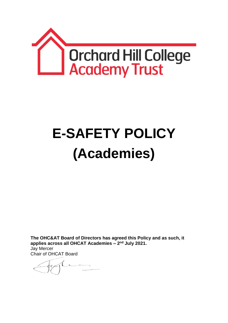

# **E-SAFETY POLICY (Academies)**

**The OHC&AT Board of Directors has agreed this Policy and as such, it applies across all OHCAT Academies – 2 nd July 2021.** Jay Mercer

Chair of OHCAT Board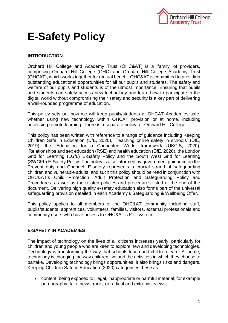

# **E-Safety Policy**

# **INTRODUCTION**

Orchard Hill College and Academy Trust (OHC&AT) is a 'family' of providers, comprising Orchard Hill College (OHC) and Orchard Hill College Academy Trust (OHCAT), which works together for mutual benefit. OHC&AT is committed to providing outstanding educational opportunities for all our pupils and students. The safety and welfare of our pupils and students is of the utmost importance. Ensuring that pupils and students can safely access new technology and learn how to participate in the digital world without compromising their safety and security is a key part of delivering a well-rounded programme of education.

This policy sets out how we will keep pupils/students at OHCAT Academies safe, whether using new technology within OHCAT provision or at home, including accessing remote learning. There is a separate policy for Orchard Hill College.

This policy has been written with reference to a range of guidance including Keeping Children Safe in Education (DfE, 2020), 'Teaching online safety in schools' (DfE, 2019), the 'Education for a Connected World' framework (UKCIS, 2020), 'Relationships and sex education (RSE) and health education (DfE, 2020), the London Grid for Learning (LGfL) E-Safety Policy and the South West Grid for Learning (SWGFL) E-Safety Policy. The policy is also informed by government guidance on the Prevent duty and Channel. E-safety represents a crucial strand of safeguarding children and vulnerable adults, and such this policy should be read in conjunction with OHC&AT's Child Protection, Adult Protection and Safeguarding Policy and Procedures, as well as the related policies and procedures listed at the end of the document. Delivering high quality e-safety education also forms part of the universal safeguarding provision detailed in each Academy's Safeguarding & Wellbeing Offer.

This policy applies to all members of the OHC&AT community including staff, pupils/students, apprentices, volunteers, families, visitors, external professionals and community users who have access to OHC&AT's ICT system.

# **E-SAFETY IN ACADEMIES**

The impact of technology on the lives of all citizens increases yearly, particularly for children and young people who are keen to explore new and developing technologies. Technology is transforming the way that schools teach and children learn. At home, technology is changing the way children live and the activities in which they choose to partake. Developing technology brings opportunities; it also brings risks and dangers. Keeping Children Safe in Education (2020) categorises these as:

 content: being exposed to illegal, inappropriate or harmful material; for example pornography, fake news, racist or radical and extremist views;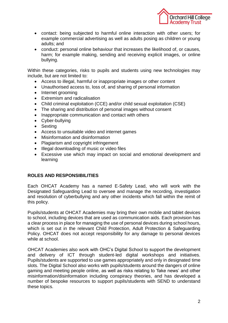

- contact: being subjected to harmful online interaction with other users; for example commercial advertising as well as adults posing as children or young adults; and
- conduct: personal online behaviour that increases the likelihood of, or causes, harm; for example making, sending and receiving explicit images, or online bullying.

Within these categories, risks to pupils and students using new technologies may include, but are not limited to:

- Access to illegal, harmful or inappropriate images or other content
- Unauthorised access to, loss of, and sharing of personal information
- Internet grooming
- Extremism and radicalisation
- Child criminal exploitation (CCE) and/or child sexual exploitation (CSE)
- The sharing and distribution of personal images without consent
- Inappropriate communication and contact with others
- Cyber-bullying
- Sexting
- Access to unsuitable video and internet games
- Misinformation and disinformation
- Plagiarism and copyright infringement
- Illegal downloading of music or video files
- Excessive use which may impact on social and emotional development and learning

#### **ROLES AND RESPONSIBILITIES**

Each OHCAT Academy has a named E-Safety Lead, who will work with the Designated Safeguarding Lead to oversee and manage the recording, investigation and resolution of cyberbullying and any other incidents which fall within the remit of this policy.

Pupils/students at OHCAT Academies may bring their own mobile and tablet devices to school, including devices that are used as communication aids. Each provision has a clear process in place for managing the use of personal devices during school hours, which is set out in the relevant Child Protection, Adult Protection & Safeguarding Policy. OHCAT does not accept responsibility for any damage to personal devices while at school.

OHCAT Academies also work with OHC's Digital School to support the development and delivery of ICT through student-led digital workshops and initiatives. Pupils/students are supported to use games appropriately and only in designated time slots. The Digital School also works with pupils/students around the dangers of online gaming and meeting people online, as well as risks relating to 'fake news' and other misinformation/disinformation including conspiracy theories, and has developed a number of bespoke resources to support pupils/students with SEND to understand these topics.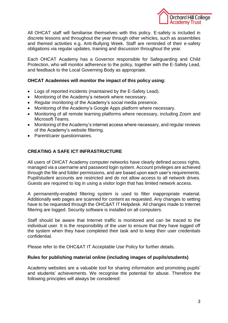

All OHCAT staff will familiarise themselves with this policy. E-safety is included in discrete lessons and throughout the year through other vehicles, such as assemblies and themed activities e.g. Anti-Bullying Week. Staff are reminded of their e-safety obligations via regular updates, training and discussion throughout the year.

Each OHCAT Academy has a Governor responsible for Safeguarding and Child Protection, who will monitor adherence to the policy, together with the E-Safety Lead, and feedback to the Local Governing Body as appropriate.

# **OHCAT Academies will monitor the impact of this policy using:**

- Logs of reported incidents (maintained by the E-Safety Lead).
- Monitoring of the Academy's network where necessary.
- Regular monitoring of the Academy's social media presence.
- Monitoring of the Academy's Google Apps platform where necessary.
- Monitoring of all remote learning platforms where necessary, including Zoom and Microsoft Teams.
- Monitoring of the Academy's internet access where necessary, and regular reviews of the Academy's website filtering.
- Parent/carer questionnaires.

# **CREATING A SAFE ICT INFRASTRUCTURE**

All users of OHCAT Academy computer networks have clearly defined access rights, managed via a username and password login system. Account privileges are achieved through the file and folder permissions, and are based upon each user's requirements. Pupil/student accounts are restricted and do not allow access to all network drives. Guests are required to log in using a visitor login that has limited network access.

A permanently-enabled filtering system is used to filter inappropriate material. Additionally web pages are scanned for content as requested. Any changes to setting have to be requested through the OHC&AT IT Helpdesk. All changes made to Internet filtering are logged. Security software is installed on all computers.

Staff should be aware that Internet traffic is monitored and can be traced to the individual user. It is the responsibility of the user to ensure that they have logged off the system when they have completed their task and to keep their user credentials confidential.

Please refer to the OHC&AT IT Acceptable Use Policy for further details.

# **Rules for publishing material online (including images of pupils/students)**

Academy websites are a valuable tool for sharing information and promoting pupils' and students' achievements. We recognise the potential for abuse. Therefore the following principles will always be considered: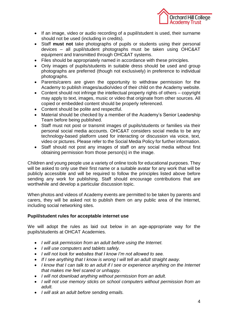

- If an image, video or audio recording of a pupil/student is used, their surname should not be used (including in credits).
- Staff **must not** take photographs of pupils or students using their personal devices – all pupil/student photographs must be taken using OHC&AT equipment and transmitted through OHC&AT systems.
- Files should be appropriately named in accordance with these principles.
- Only images of pupils/students in suitable dress should be used and group photographs are preferred (though not exclusively) in preference to individual photographs.
- Parents/carers are given the opportunity to withdraw permission for the Academy to publish images/audio/video of their child on the Academy website.
- Content should not infringe the intellectual property rights of others copyright may apply to text, images, music or video that originate from other sources. All copied or embedded content should be properly referenced.
- Content should be polite and respectful.
- Material should be checked by a member of the Academy's Senior Leadership Team before being published.
- Staff must not post or transmit images of pupils/students or families via their personal social media accounts. OHC&AT considers social media to be any technology-based platform used for interacting or discussion via voice, text, video or pictures. Please refer to the Social Media Policy for further information.
- Staff should not post any images of staff on any social media without first obtaining permission from those person(s) in the image.

Children and young people use a variety of online tools for educational purposes. They will be asked to only use their first name or a suitable avatar for any work that will be publicly accessible and will be required to follow the principles listed above before sending any work for publishing. Staff should encourage contributions that are worthwhile and develop a particular discussion topic.

When photos and videos of Academy events are permitted to be taken by parents and carers, they will be asked not to publish them on any public area of the Internet, including social networking sites.

#### **Pupil/student rules for acceptable internet use**

We will adopt the rules as laid out below in an age-appropriate way for the pupils/students at OHCAT Academies.

- *I will ask permission from an adult before using the Internet.*
- *I will use computers and tablets safely.*
- *I will not look for websites that I know I'm not allowed to see.*
- *If I see anything that I know is wrong I will tell an adult straight away.*
- *I know that I can talk to an adult if I see or experience anything on the Internet that makes me feel scared or unhappy.*
- *I will not download anything without permission from an adult.*
- *I will not use memory sticks on school computers without permission from an adult.*
- *I will ask an adult before sending emails.*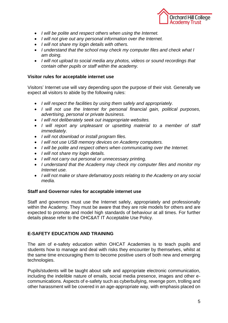

- *I will be polite and respect others when using the Internet.*
- *I will not give out any personal information over the Internet.*
- *I will not share my login details with others.*
- *I understand that the school may check my computer files and check what I am doing.*
- *I will not upload to social media any photos, videos or sound recordings that contain other pupils or staff within the academy.*

# **Visitor rules for acceptable internet use**

Visitors' Internet use will vary depending upon the purpose of their visit. Generally we expect all visitors to abide by the following rules:

- *I will respect the facilities by using them safely and appropriately.*
- *I will not use the Internet for personal financial gain, political purposes, advertising, personal or private business.*
- *I will not deliberately seek out inappropriate websites.*
- *I will report any unpleasant or upsetting material to a member of staff immediately.*
- *I will not download or install program files.*
- *I will not use USB memory devices on Academy computers.*
- *I will be polite and respect others when communicating over the Internet.*
- *I will not share my login details.*
- *I will not carry out personal or unnecessary printing.*
- *I understand that the Academy may check my computer files and monitor my Internet use.*
- *I will not make or share defamatory posts relating to the Academy on any social media.*

# **Staff and Governor rules for acceptable internet use**

Staff and governors must use the Internet safely, appropriately and professionally within the Academy. They must be aware that they are role models for others and are expected to promote and model high standards of behaviour at all times. For further details please refer to the OHC&AT IT Acceptable Use Policy.

# **E-SAFETY EDUCATION AND TRAINING**

The aim of e-safety education within OHCAT Academies is to teach pupils and students how to manage and deal with risks they encounter by themselves, whilst at the same time encouraging them to become positive users of both new and emerging technologies.

Pupils/students will be taught about safe and appropriate electronic communication, including the indelible nature of emails, social media presence, images and other ecommunications. Aspects of e-safety such as cyberbullying, revenge porn, trolling and other harassment will be covered in an age-appropriate way, with emphasis placed on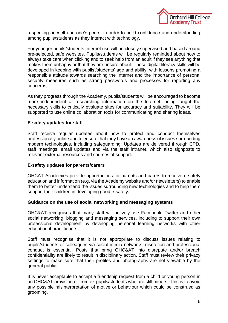

respecting oneself and one's peers, in order to build confidence and understanding among pupils/students as they interact with technology.

For younger pupils/students Internet use will be closely supervised and based around pre-selected, safe websites. Pupils/students will be regularly reminded about how to always take care when clicking and to seek help from an adult if they see anything that makes them unhappy or that they are unsure about. These digital literacy skills will be developed in keeping with pupils'/students' age and ability, with lessons promoting a responsible attitude towards searching the Internet and the importance of personal security measures such as strong passwords and processes for reporting any concerns.

As they progress through the Academy, pupils/students will be encouraged to become more independent at researching information on the Internet, being taught the necessary skills to critically evaluate sites for accuracy and suitability. They will be supported to use online collaboration tools for communicating and sharing ideas.

#### **E-safety updates for staff**

Staff receive regular updates about how to protect and conduct themselves professionally online and to ensure that they have an awareness of issues surrounding modern technologies, including safeguarding. Updates are delivered through CPD, staff meetings, email updates and via the staff intranet, which also signposts to relevant external resources and sources of support.

#### **E-safety updates for parents/carers**

OHCAT Academies provide opportunities for parents and carers to receive e-safety education and information (e.g. via the Academy website and/or newsletters) to enable them to better understand the issues surrounding new technologies and to help them support their children in developing good e-safety.

#### **Guidance on the use of social networking and messaging systems**

OHC&AT recognises that many staff will actively use Facebook, Twitter and other social networking, blogging and messaging services, including to support their own professional development by developing personal learning networks with other educational practitioners.

Staff must recognise that it is not appropriate to discuss issues relating to pupils/students or colleagues via social media networks; discretion and professional conduct is essential. Posts that bring OHC&AT into disrepute and/or breach confidentiality are likely to result in disciplinary action. Staff must review their privacy settings to make sure that their profiles and photographs are not viewable by the general public.

It is never acceptable to accept a friendship request from a child or young person in an OHC&AT provision or from ex-pupils/students who are still minors. This is to avoid any possible misinterpretation of motive or behaviour which could be construed as grooming.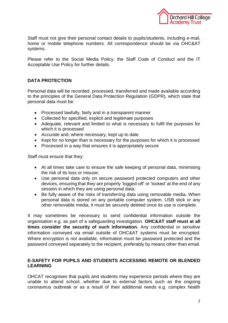

Staff must not give their personal contact details to pupils/students, including e-mail, home or mobile telephone numbers. All correspondence should be via OHC&AT systems.

Please refer to the Social Media Policy, the Staff Code of Conduct and the IT Acceptable Use Policy for further details.

# **DATA PROTECTION**

Personal data will be recorded, processed, transferred and made available according to the principles of the General Data Protection Regulation (GDPR), which state that personal data must be:

- Processed lawfully, fairly and in a transparent manner
- Collected for specified, explicit and legitimate purposes
- Adequate, relevant and limited to what is necessary to fulfil the purposes for which it is processed
- Accurate and, where necessary, kept up to date
- Kept for no longer than is necessary for the purposes for which it is processed
- Processed in a way that ensures it is appropriately secure

Staff must ensure that they:

- At all times take care to ensure the safe keeping of personal data, minimising the risk of its loss or misuse;
- Use personal data only on secure password protected computers and other devices, ensuring that they are properly 'logged-off' or 'locked' at the end of any session in which they are using personal data;
- Be fully aware of the risks of transferring data using removable media. When personal data is stored on any portable computer system, USB stick or any other removable media, it must be securely deleted once its use is complete.

It may sometimes be necessary to send confidential information outside the organisation e.g. as part of a safeguarding investigation. **OHC&AT staff must at all times consider the security of such information.** Any confidential or sensitive information conveyed via email outside of OHC&AT systems must be encrypted. Where encryption is not available, information must be password protected and the password conveyed separately to the recipient, preferably by means other than email.

# **E-SAFETY FOR PUPILS AND STUDENTS ACCESSING REMOTE OR BLENDED LEARNING**

OHCAT recognises that pupils and students may experience periods where they are unable to attend school, whether due to external factors such as the ongoing coronavirus outbreak or as a result of their additional needs e.g. complex health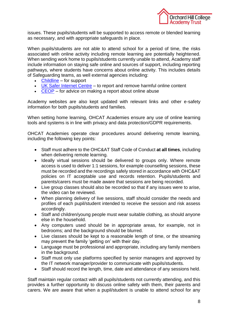

issues. These pupils/students will be supported to access remote or blended learning as necessary, and with appropriate safeguards in place.

When pupils/students are not able to attend school for a period of time, the risks associated with online activity including remote learning are potentially heightened. When sending work home to pupils/students currently unable to attend, Academy staff include information on staying safe online and sources of support, including reporting pathways, where students have concerns about online activity. This includes details of Safeguarding teams, as well external agencies including:

- [Childline](https://www.childline.org.uk/?utm_source=google&utm_medium=cpc&utm_campaign=UK_GO_S_B_BND_Grant_Childline_Information&utm_term=role_of_childline&gclsrc=aw.ds&&gclid=EAIaIQobChMIlfLRh-ez6AIVRrDtCh1N9QR2EAAYASAAEgLc-vD_BwE&gclsrc=aw.ds) for support
- [UK Safer Internet Centre](https://reportharmfulcontent.com/) to report and remove harmful online content
- [CEOP](https://www.ceop.police.uk/safety-centre/) for advice on making a report about online abuse

Academy websites are also kept updated with relevant links and other e-safety information for both pupils/students and families.

When setting home learning, OHCAT Academies ensure any use of online learning tools and systems is in line with privacy and data protection/GDPR requirements.

OHCAT Academies operate clear procedures around delivering remote learning, including the following key points:

- Staff must adhere to the OHC&AT Staff Code of Conduct **at all times**, including when delivering remote learning.
- Ideally virtual sessions should be delivered to groups only. Where remote access is used to deliver 1:1 sessions, for example counselling sessions, these must be recorded and the recordings safely stored in accordance with OHC&AT policies on IT acceptable use and records retention. Pupils/students and parents/carers must be made aware that sessions are being recorded.
- Live group classes should also be recorded so that if any issues were to arise, the video can be reviewed.
- When planning delivery of live sessions, staff should consider the needs and profiles of each pupil/student intended to receive the session and risk assess accordingly.
- Staff and children/young people must wear suitable clothing, as should anyone else in the household.
- Any computers used should be in appropriate areas, for example, not in bedrooms; and the background should be blurred.
- Live classes should be kept to a reasonable length of time, or the streaming may prevent the family 'getting on' with their day.
- Language must be professional and appropriate, including any family members in the background.
- Staff must only use platforms specified by senior managers and approved by the IT network manager/provider to communicate with pupils/students.
- Staff should record the length, time, date and attendance of any sessions held.

Staff maintain regular contact with all pupils/students not currently attending, and this provides a further opportunity to discuss online safety with them, their parents and carers. We are aware that when a pupil/student is unable to attend school for any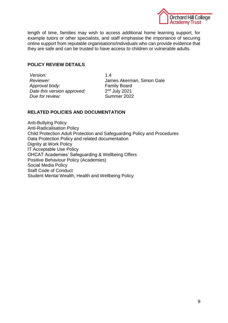

length of time, families may wish to access additional home learning support, for example tutors or other specialists, and staff emphasise the importance of securing online support from reputable organisations/individuals who can provide evidence that they are safe and can be trusted to have access to children or vulnerable adults.

# **POLICY REVIEW DETAILS**

*Version:* 1.4 *Approval body:* Family Board *Date this version approved:* **Due for review:** Summer 2022

*Reviewer:* James Akerman, Simon Gale  $2<sup>nd</sup>$  July 2021

# **RELATED POLICIES AND DOCUMENTATION**

Anti-Bullying Policy Anti-Radicalisation Policy Child Protection Adult Protection and Safeguarding Policy and Procedures Data Protection Policy and related documentation Dignity at Work Policy IT Acceptable Use Policy OHCAT Academies' Safeguarding & Wellbeing Offers Positive Behaviour Policy (Academies) Social Media Policy Staff Code of Conduct Student Mental Wealth, Health and Wellbeing Policy